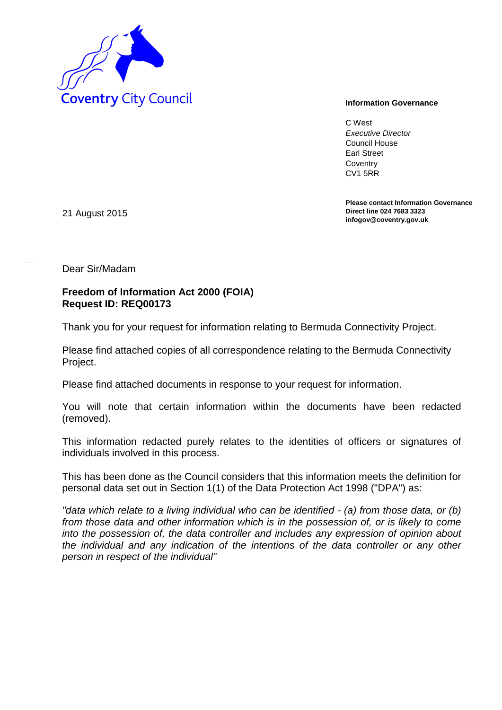

C West *Executive Director* Council House Earl Street **Coventry** CV1 5RR

**Please contact Information Governance Direct line 024 7683 3323 infogov@coventry.gov.uk** 

21 August 2015

Dear Sir/Madam

## **Freedom of Information Act 2000 (FOIA) Request ID: REQ00173**

Thank you for your request for information relating to Bermuda Connectivity Project.

Please find attached copies of all correspondence relating to the Bermuda Connectivity Project.

Please find attached documents in response to your request for information.

You will note that certain information within the documents have been redacted (removed).

This information redacted purely relates to the identities of officers or signatures of individuals involved in this process.

This has been done as the Council considers that this information meets the definition for personal data set out in Section 1(1) of the Data Protection Act 1998 ("DPA") as:

*"data which relate to a living individual who can be identified - (a) from those data, or (b) from those data and other information which is in the possession of, or is likely to come into the possession of, the data controller and includes any expression of opinion about the individual and any indication of the intentions of the data controller or any other person in respect of the individual"*